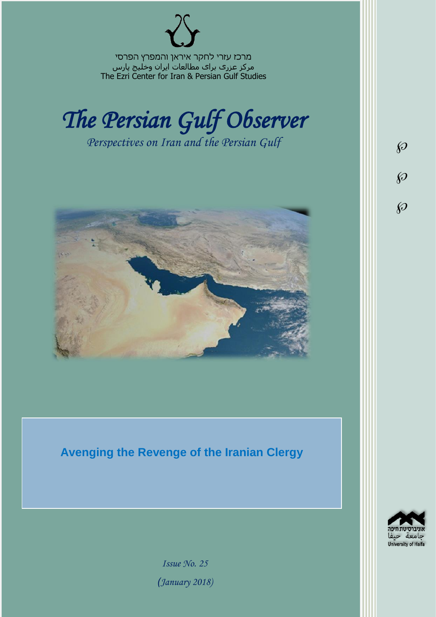מרכז עזרי לחקר איראן והמפרץ הפרסי مرکز عزری برای مطالعات ایران وخلیج پارس The Ezri Center for Iran & Persian Gulf Studies



*Perspectives on Iran and the Persian Gulf* 



**Avenging the Revenge of the Iranian Clergy**



 $\wp$ 

 $\wp$ 

 $\wp$ 

*Issue No. 25 )January 2018)*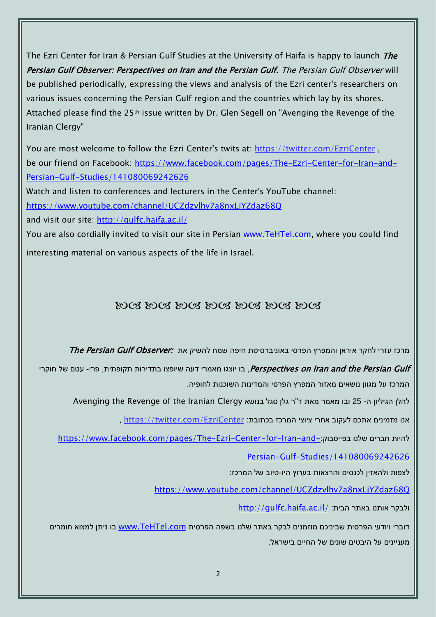The Ezri Center for Iran & Persian Gulf Studies at the University of Haifa is happy to launch *The* Persian Gulf Observer: Perspectives on Iran and the Persian Gulf. The Persian Gulf Observer will be published periodically, expressing the views and analysis of the Ezri center's researchers on various issues concerning the Persian Gulf region and the countries which lay by its shores. Attached please find the 25th issue written by Dr. Glen Segell on "Avenging the Revenge of the Iranian Clergy"

You are most welcome to follow the Ezri Center's twits at: <https://twitter.com/EzriCenter> , be our friend on Facebook: [https://www.facebook.com/pages/The-Ezri-Center-for-Iran-and-](https://www.facebook.com/pages/The-Ezri-Center-for-Iran-and-Persian-Gulf-Studies/141080069242626)[Persian-Gulf-Studies/141080069242626](https://www.facebook.com/pages/The-Ezri-Center-for-Iran-and-Persian-Gulf-Studies/141080069242626)

Watch and listen to conferences and lecturers in the Center's YouTube channel:

<https://www.youtube.com/channel/UCZdzvlhv7a8nxLjYZdaz68Q>

and visit our site:<http://gulfc.haifa.ac.il/>

You are also cordially invited to visit our site in Persian [www.TeHTel.com,](http://www.tehtel.com/) where you could find interesting material on various aspects of the life in Israel.

## DOG DOG DOG DOG DOG DOG DOG

מרכז עזרי לחקר איראן והמפרץ הפרסי באוניברסיטת חיפה שמח להשיק את :*The Persian Gulf Observer* 

Perspectives on Iran and the Persian Gulf , בו יוצגו מאמרי דעה שיופצו בתדירות תקופתית, פרי- עטם של חוקרי המרכז על מגוון נושאים מאזור המפרץ הפרסי והמדינות השוכנות לחופיה.

להלן הגיליון ה- 25 ובו מאמר מאת ד"ר גלן סגל בנושא Avenging the Revenge of the Iranian Clergy

אנו מזמינים אתכם לעקוב אחרי ציוצי המרכז בכתובת: [EzriCenter/com.twitter://https](https://twitter.com/EzriCenter) ,

[https://www.facebook.com/pages/The-Ezri-Center-for-Iran-and-](https://www.facebook.com/pages/The-Ezri-Center-for-Iran-and-Persian-Gulf-Studies/141080069242626):כהיות חברים שלנו בפייסבוק

## [Persian-Gulf-Studies/141080069242626](https://www.facebook.com/pages/The-Ezri-Center-for-Iran-and-Persian-Gulf-Studies/141080069242626)

לצפות ולהאזין לכנסים והרצאות בערוץ היו-טיוב של המרכז:

<https://www.youtube.com/channel/UCZdzvlhv7a8nxLjYZdaz68Q>

<http://gulfc.haifa.ac.il/> ולבקר אותנו באתר הבית

דוברי ויודעי הפרסית שביניכם מוזמנים לבקר באתר שלנו בשפה הפרסית [com.TeHTel.www](http://www.tehtel.com/) בו ניתן למצוא חומרים מעניינים על היבטים שונים של החיים בישראל.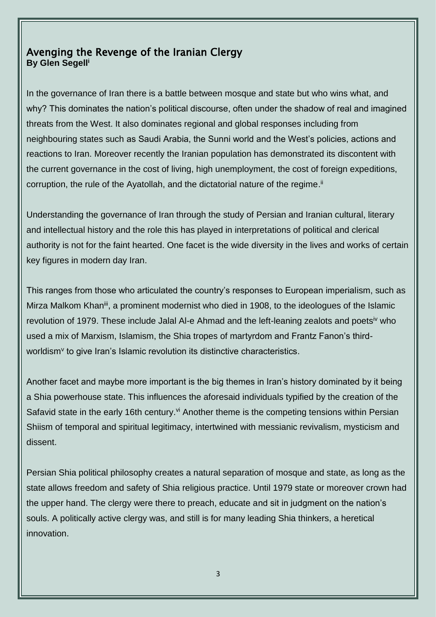## Avenging the Revenge of the Iranian Clergy **By Glen Segell<sup>i</sup>**

I

In the governance of Iran there is a battle between mosque and state but who wins what, and why? This dominates the nation's political discourse, often under the shadow of real and imagined threats from the West. It also dominates regional and global responses including from neighbouring states such as Saudi Arabia, the Sunni world and the West's policies, actions and reactions to Iran. Moreover recently the Iranian population has demonstrated its discontent with the current governance in the cost of living, high unemployment, the cost of foreign expeditions, corruption, the rule of the Ayatollah, and the dictatorial nature of the regime.<sup>ii</sup>

Understanding the governance of Iran through the study of Persian and Iranian cultural, literary and intellectual history and the role this has played in interpretations of political and clerical authority is not for the faint hearted. One facet is the wide diversity in the lives and works of certain key figures in modern day Iran.

This ranges from those who articulated the country's responses to European imperialism, such as Mirza Malkom Khan<sup>iii</sup>, a prominent modernist who died in 1908, to the ideologues of the Islamic revolution of 1979. These include Jalal Al-e Ahmad and the left-leaning zealots and poets<sup>iv</sup> who used a mix of Marxism, Islamism, the Shia tropes of martyrdom and Frantz Fanon's thirdworldism<sup> $\vee$ </sup> to give Iran's Islamic revolution its distinctive characteristics.

Another facet and maybe more important is the big themes in Iran's history dominated by it being a Shia powerhouse state. This influences the aforesaid individuals typified by the creation of the Safavid state in the early 16th century.<sup>vi</sup> Another theme is the competing tensions within Persian Shiism of temporal and spiritual legitimacy, intertwined with messianic revivalism, mysticism and dissent.

Persian Shia political philosophy creates a natural separation of mosque and state, as long as the state allows freedom and safety of Shia religious practice. Until 1979 state or moreover crown had the upper hand. The clergy were there to preach, educate and sit in judgment on the nation's souls. A politically active clergy was, and still is for many leading Shia thinkers, a heretical innovation.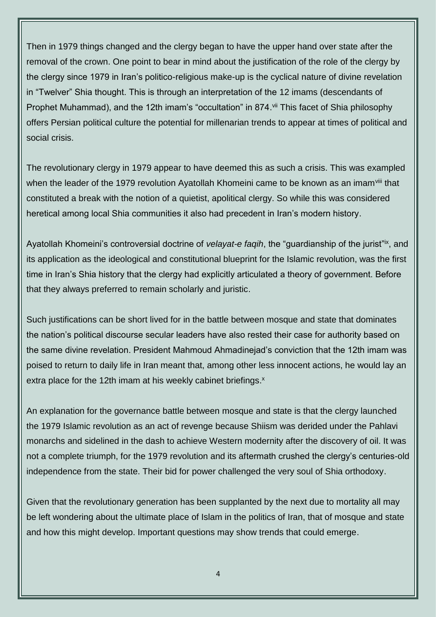Then in 1979 things changed and the clergy began to have the upper hand over state after the removal of the crown. One point to bear in mind about the justification of the role of the clergy by the clergy since 1979 in Iran's politico-religious make-up is the cyclical nature of divine revelation in "Twelver" Shia thought. This is through an interpretation of the 12 imams (descendants of Prophet Muhammad), and the 12th imam's "occultation" in 874. Vii This facet of Shia philosophy offers Persian political culture the potential for millenarian trends to appear at times of political and social crisis.

The revolutionary clergy in 1979 appear to have deemed this as such a crisis. This was exampled when the leader of the 1979 revolution Ayatollah Khomeini came to be known as an imam<sup>viii</sup> that constituted a break with the notion of a quietist, apolitical clergy. So while this was considered heretical among local Shia communities it also had precedent in Iran's modern history.

Ayatollah Khomeini's controversial doctrine of *velayat-e faqih*, the "guardianship of the jurist"<sup>ix</sup>, and its application as the ideological and constitutional blueprint for the Islamic revolution, was the first time in Iran's Shia history that the clergy had explicitly articulated a theory of government. Before that they always preferred to remain scholarly and juristic.

Such justifications can be short lived for in the battle between mosque and state that dominates the nation's political discourse secular leaders have also rested their case for authority based on the same divine revelation. President Mahmoud Ahmadinejad's conviction that the 12th imam was poised to return to daily life in Iran meant that, among other less innocent actions, he would lay an extra place for the 12th imam at his weekly cabinet briefings.<sup>x</sup>

An explanation for the governance battle between mosque and state is that the clergy launched the 1979 Islamic revolution as an act of revenge because Shiism was derided under the Pahlavi monarchs and sidelined in the dash to achieve Western modernity after the discovery of oil. It was not a complete triumph, for the 1979 revolution and its aftermath crushed the clergy's centuries-old independence from the state. Their bid for power challenged the very soul of Shia orthodoxy.

Given that the revolutionary generation has been supplanted by the next due to mortality all may be left wondering about the ultimate place of Islam in the politics of Iran, that of mosque and state and how this might develop. Important questions may show trends that could emerge.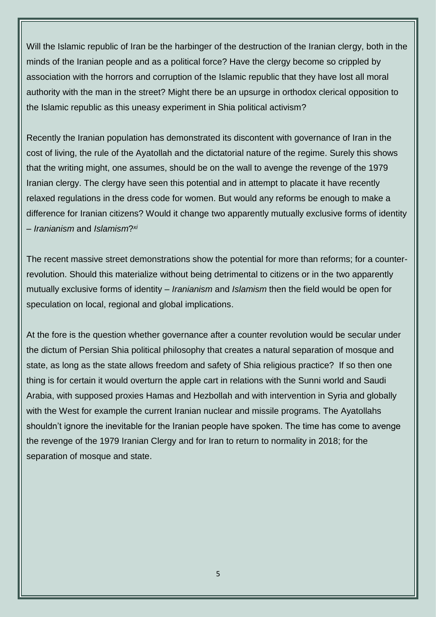Will the Islamic republic of Iran be the harbinger of the destruction of the Iranian clergy, both in the minds of the Iranian people and as a political force? Have the clergy become so crippled by association with the horrors and corruption of the Islamic republic that they have lost all moral authority with the man in the street? Might there be an upsurge in orthodox clerical opposition to the Islamic republic as this uneasy experiment in Shia political activism?

Recently the Iranian population has demonstrated its discontent with governance of Iran in the cost of living, the rule of the Ayatollah and the dictatorial nature of the regime. Surely this shows that the writing might, one assumes, should be on the wall to avenge the revenge of the 1979 Iranian clergy. The clergy have seen this potential and in attempt to placate it have recently relaxed regulations in the dress code for women. But would any reforms be enough to make a difference for Iranian citizens? Would it change two apparently mutually exclusive forms of identity *xi* – *Iranianism* and *Islamism*?

The recent massive street demonstrations show the potential for more than reforms; for a counterrevolution. Should this materialize without being detrimental to citizens or in the two apparently mutually exclusive forms of identity – *Iranianism* and *Islamism* then the field would be open for speculation on local, regional and global implications.

At the fore is the question whether governance after a counter revolution would be secular under the dictum of Persian Shia political philosophy that creates a natural separation of mosque and state, as long as the state allows freedom and safety of Shia religious practice? If so then one thing is for certain it would overturn the apple cart in relations with the Sunni world and Saudi Arabia, with supposed proxies Hamas and Hezbollah and with intervention in Syria and globally with the West for example the current Iranian nuclear and missile programs. The Ayatollahs shouldn't ignore the inevitable for the Iranian people have spoken. The time has come to avenge the revenge of the 1979 Iranian Clergy and for Iran to return to normality in 2018; for the separation of mosque and state.